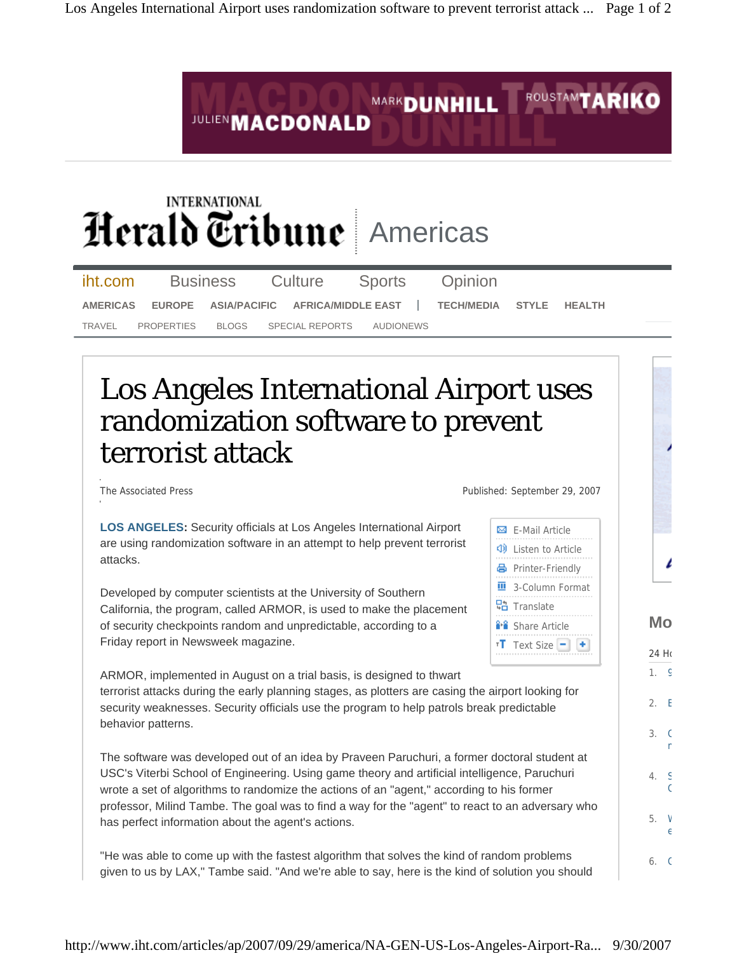

wrote a set of algorithms to randomize the actions of an "agent," according to his former professor, Milind Tambe. The goal was to find a way for the "agent" to react to an adversary who has perfect information about the agent's actions.

m

 $\epsilon$ 

5. W e

6. G

"He was able to come up with the fastest algorithm that solves the kind of random problems given to us by LAX," Tambe said. "And we're able to say, here is the kind of solution you should